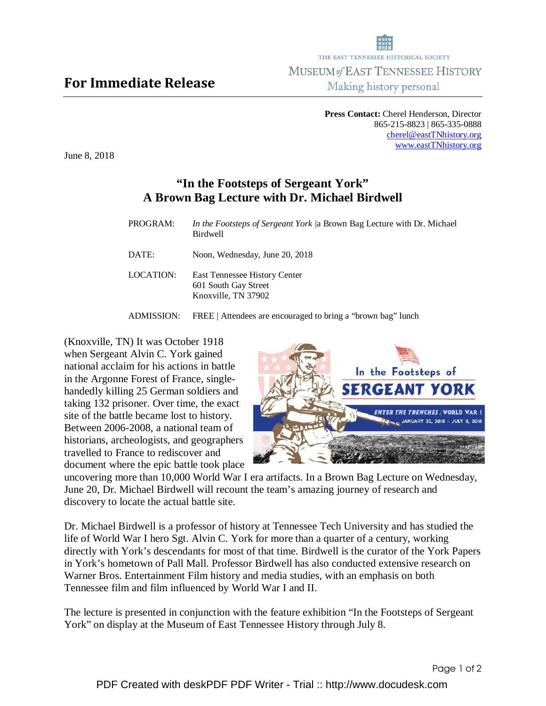## For Immediate Release

**Press Contact:** Cherel Henderson, Director 865-215-8823 | 865-335-0888 cherel@eastTNhistory.org www.eastTNhistory.org

In the Footsteps of

June 8, 2018

## **"In the Footsteps of Sergeant York" A Brown Bag Lecture with Dr. Michael Birdwell**

| PROGRAM:   | <i>In the Footsteps of Sergeant York /a Brown Bag Lecture with Dr. Michael</i><br><b>Birdwell</b> |
|------------|---------------------------------------------------------------------------------------------------|
| DATE:      | Noon, Wednesday, June 20, 2018                                                                    |
| LOCATION:  | East Tennessee History Center<br>601 South Gay Street<br>Knoxville, TN 37902                      |
| ADMISSION: | FREE   Attendees are encouraged to bring a "brown bag" lunch                                      |

(Knoxville, TN) It was October 1918 when Sergeant Alvin C. York gained national acclaim for his actions in battle in the Argonne Forest of France, singlehandedly killing 25 German soldiers and taking 132 prisoner. Over time, the exact site of the battle became lost to history. Between 2006-2008, a national team of historians, archeologists, and geographers travelled to France to rediscover and document where the epic battle took place

**SERGEANT YORK** *ENTER THE TRENCHES . WORLD WAR I* 

uncovering more than 10,000 World War I era artifacts. In a Brown Bag Lecture on Wednesday, June 20, Dr. Michael Birdwell will recount the team's amazing journey of research and discovery to locate the actual battle site.

Dr. Michael Birdwell is a professor of history at Tennessee Tech University and has studied the life of World War I hero Sgt. Alvin C. York for more than a quarter of a century, working directly with York's descendants for most of that time. Birdwell is the curator of the York Papers in York's hometown of Pall Mall. Professor Birdwell has also conducted extensive research on Warner Bros. Entertainment Film history and media studies, with an emphasis on both Tennessee film and film influenced by World War I and II.

The lecture is presented in conjunction with the feature exhibition "In the Footsteps of Sergeant York" on display at the Museum of East Tennessee History through July 8.



Making history personal